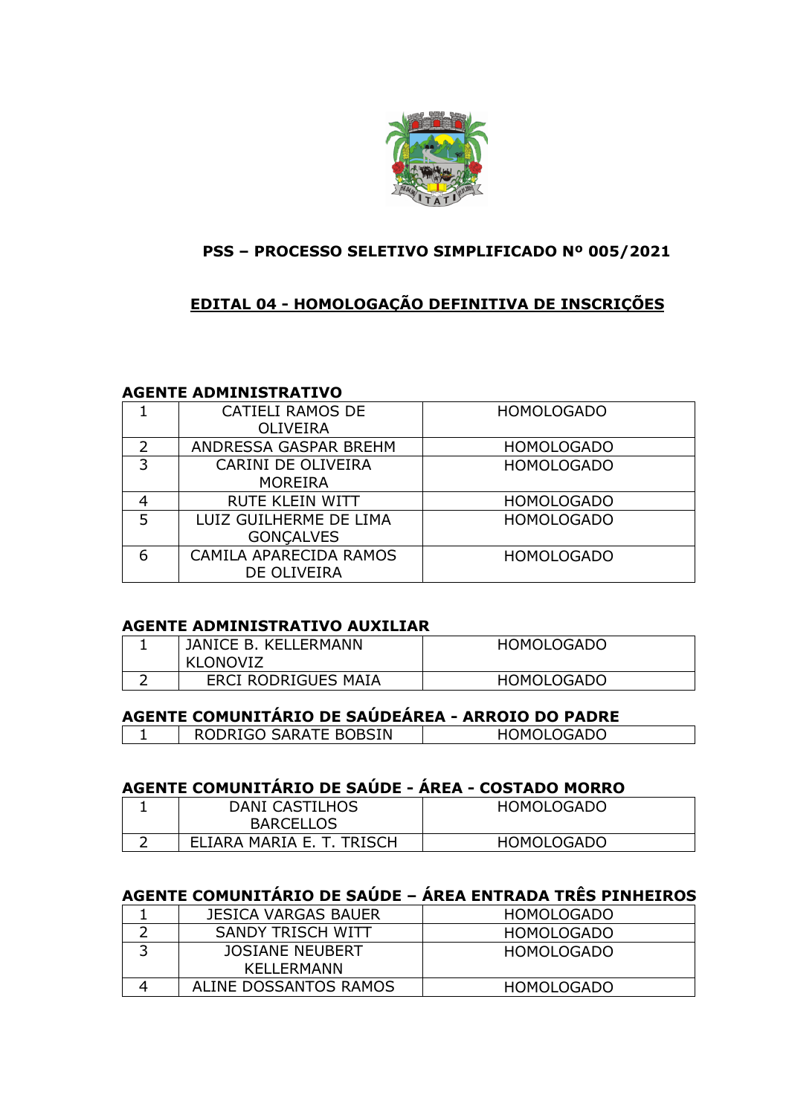

### **PSS – PROCESSO SELETIVO SIMPLIFICADO Nº 005/2021**

### **EDITAL 04 - HOMOLOGAÇÃO DEFINITIVA DE INSCRIÇÕES**

#### **AGENTE ADMINISTRATIVO**

|   | <b>CATIELI RAMOS DE</b><br><b>OLIVEIRA</b> | <b>HOMOLOGADO</b> |
|---|--------------------------------------------|-------------------|
| 2 | ANDRESSA GASPAR BREHM                      | <b>HOMOLOGADO</b> |
| 3 | CARINI DE OLIVEIRA<br><b>MOREIRA</b>       | <b>HOMOLOGADO</b> |
| 4 | <b>RUTE KLEIN WITT</b>                     | <b>HOMOLOGADO</b> |
| 5 | LUIZ GUILHERME DE LIMA<br><b>GONCALVES</b> | <b>HOMOLOGADO</b> |
| 6 | CAMILA APARECIDA RAMOS<br>DE OLIVEIRA      | <b>HOMOLOGADO</b> |

#### **AGENTE ADMINISTRATIVO AUXILIAR**

| JANICE B. KELLERMANN<br>KLONOVIZ | <b>HOMOLOGADO</b> |
|----------------------------------|-------------------|
| ERCI RODRIGUES MAIA              | <b>HOMOLOGADO</b> |

# **AGENTE COMUNITÁRIO DE SAÚDEÁREA - ARROIO DO PADRE**

| RODRIGO SARATE BOBSIN | <b>HOMOLOGADO</b> |
|-----------------------|-------------------|
|                       |                   |

### **AGENTE COMUNITÁRIO DE SAÚDE - ÁREA - COSTADO MORRO**

| DANI CASTILHOS            | HOMOLOGADO        |
|---------------------------|-------------------|
| <b>BARCELLOS</b>          |                   |
| ELIARA MARIA E. T. TRISCH | <b>HOMOLOGADO</b> |

# **AGENTE COMUNITÁRIO DE SAÚDE – ÁREA ENTRADA TRÊS PINHEIROS**

| JESICA VARGAS BAUER   | <b>HOMOLOGADO</b> |
|-----------------------|-------------------|
| SANDY TRISCH WITT     | HOMOLOGADO        |
| JOSIANE NEUBERT       | HOMOLOGADO        |
| KFI I FRMANN          |                   |
| ALINE DOSSANTOS RAMOS | <b>HOMOLOGADO</b> |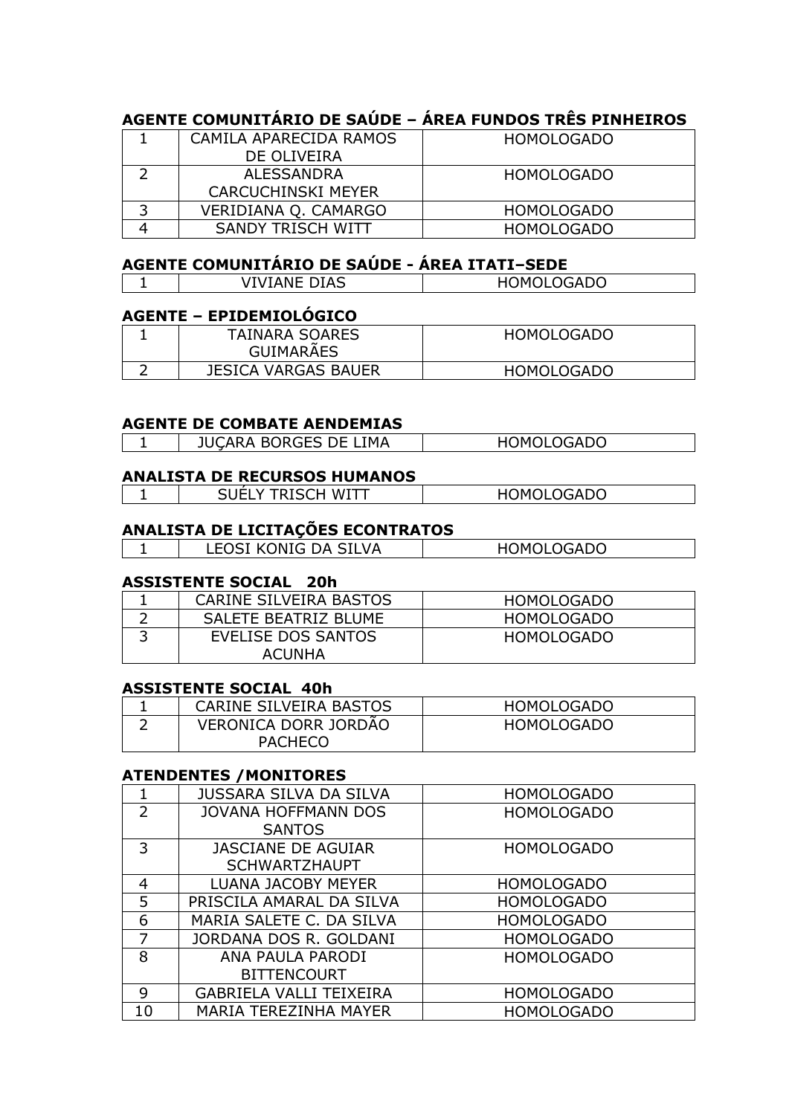# **AGENTE COMUNITÁRIO DE SAÚDE – ÁREA FUNDOS TRÊS PINHEIROS**

| CAMILA APARECIDA RAMOS    | <b>HOMOLOGADO</b> |
|---------------------------|-------------------|
| DE OLIVEIRA               |                   |
| ALESSANDRA                | <b>HOMOLOGADO</b> |
| <b>CARCUCHINSKI MEYER</b> |                   |
| VERIDIANA Q. CAMARGO      | <b>HOMOLOGADO</b> |
| SANDY TRISCH WITT         | <b>HOMOLOGADO</b> |

# **AGENTE COMUNITÁRIO DE SAÚDE - ÁREA ITATI–SEDE**

| $\Gamma$<br>м.<br>ᆢ | 0CADO<br>۱M.<br>טשו |
|---------------------|---------------------|

### **AGENTE – EPIDEMIOLÓGICO**

| <b>TAINARA SOARES</b><br><b>GUIMARAES</b> | <b>HOMOLOGADO</b> |
|-------------------------------------------|-------------------|
| <b>JESICA VARGAS BAUER</b>                | <b>HOMOLOGADO</b> |

#### **AGENTE DE COMBATE AENDEMIAS**

### **ANALISTA DE RECURSOS HUMANOS**

| w<br>ັ<br>$-$<br>$\sim$ $\sim$ $\sim$ $\sim$<br>. | -----<br>۱м<br>. _ _ _ _ _ <i>_</i> _ |
|---------------------------------------------------|---------------------------------------|
|                                                   |                                       |

#### **ANALISTA DE LICITAÇÕES ECONTRATOS**

| <b>SILVA</b><br><b>EOCT</b><br>DА<br>$\triangle$ NIT $\triangle$<br>$\mathbf{z}$<br>' I M<br>.<br>---- | NMUI UGADU<br>-10<br>◡∼◡<br>╵ |
|--------------------------------------------------------------------------------------------------------|-------------------------------|
|                                                                                                        |                               |

#### **ASSISTENTE SOCIAL 20h**

| CARINE SILVEIRA BASTOS       | <b>HOMOLOGADO</b> |
|------------------------------|-------------------|
| SALETE BEATRIZ BLUME         | <b>HOMOLOGADO</b> |
| EVELISE DOS SANTOS<br>ACUNHA | <b>HOMOLOGADO</b> |
|                              |                   |

#### **ASSISTENTE SOCIAL 40h**

| CARINE SILVEIRA BASTOS      | HOMOLOGADO        |
|-----------------------------|-------------------|
| <b>VERONICA DORR JORDAO</b> | <b>HOMOLOGADO</b> |
| <b>PACHECO</b>              |                   |

#### **ATENDENTES /MONITORES**

| 1              | <b>JUSSARA SILVA DA SILVA</b>  | <b>HOMOLOGADO</b> |
|----------------|--------------------------------|-------------------|
| 2              | <b>JOVANA HOFFMANN DOS</b>     | <b>HOMOLOGADO</b> |
|                | <b>SANTOS</b>                  |                   |
| 3              | <b>JASCIANE DE AGUIAR</b>      | <b>HOMOLOGADO</b> |
|                | <b>SCHWARTZHAUPT</b>           |                   |
| $\overline{4}$ | <b>LUANA JACOBY MEYER</b>      | <b>HOMOLOGADO</b> |
| 5              | PRISCILA AMARAL DA SILVA       | <b>HOMOLOGADO</b> |
| 6              | MARIA SALETE C. DA SILVA       | <b>HOMOLOGADO</b> |
| 7              | JORDANA DOS R. GOLDANI         | <b>HOMOLOGADO</b> |
| 8              | ANA PAULA PARODI               | <b>HOMOLOGADO</b> |
|                | <b>BITTENCOURT</b>             |                   |
| 9              | <b>GABRIELA VALLI TEIXEIRA</b> | <b>HOMOLOGADO</b> |
| 10             | <b>MARIA TEREZINHA MAYER</b>   | <b>HOMOLOGADO</b> |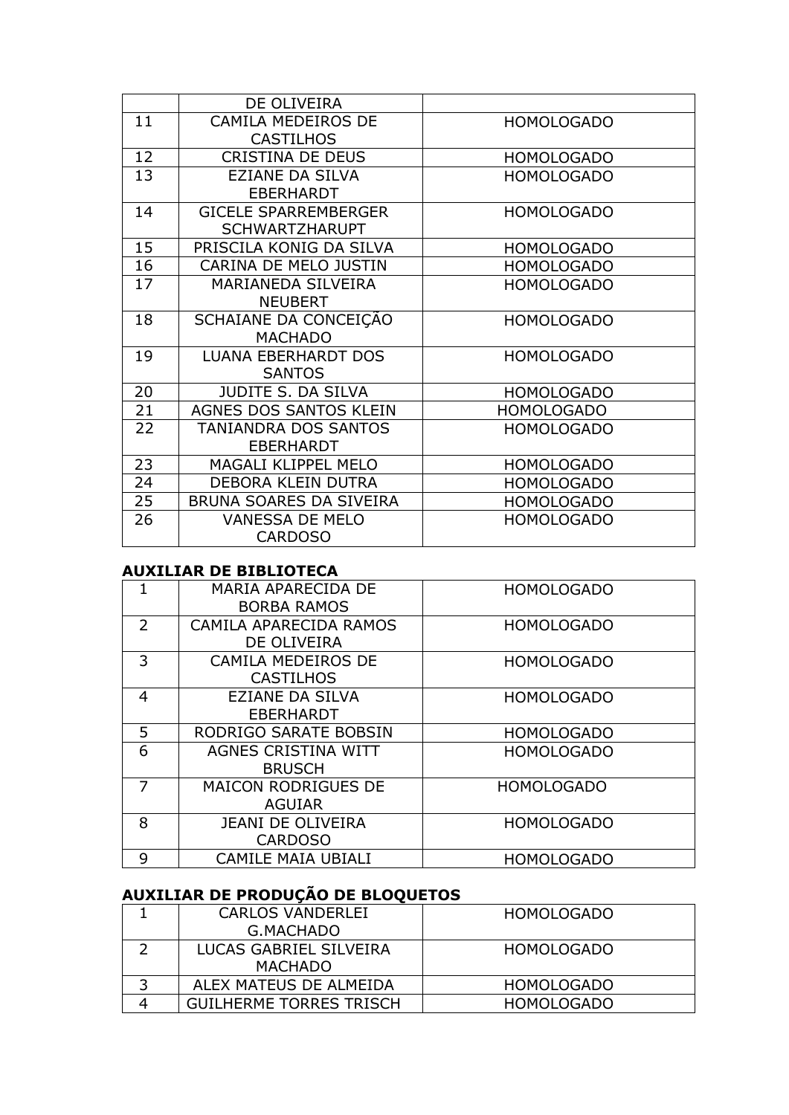|    | DE OLIVEIRA                 |                   |
|----|-----------------------------|-------------------|
| 11 | <b>CAMILA MEDEIROS DE</b>   | <b>HOMOLOGADO</b> |
|    | <b>CASTILHOS</b>            |                   |
| 12 | <b>CRISTINA DE DEUS</b>     | <b>HOMOLOGADO</b> |
| 13 | EZIANE DA SILVA             | <b>HOMOLOGADO</b> |
|    | <b>EBERHARDT</b>            |                   |
| 14 | <b>GICELE SPARREMBERGER</b> | <b>HOMOLOGADO</b> |
|    | <b>SCHWARTZHARUPT</b>       |                   |
| 15 | PRISCILA KONIG DA SILVA     | <b>HOMOLOGADO</b> |
| 16 | CARINA DE MELO JUSTIN       | <b>HOMOLOGADO</b> |
| 17 | MARIANEDA SILVEIRA          | <b>HOMOLOGADO</b> |
|    | <b>NEUBERT</b>              |                   |
| 18 | SCHAIANE DA CONCEIÇÃO       | <b>HOMOLOGADO</b> |
|    | <b>MACHADO</b>              |                   |
| 19 | <b>LUANA EBERHARDT DOS</b>  | <b>HOMOLOGADO</b> |
|    | <b>SANTOS</b>               |                   |
| 20 | JUDITE S. DA SILVA          | <b>HOMOLOGADO</b> |
| 21 | AGNES DOS SANTOS KLEIN      | <b>HOMOLOGADO</b> |
| 22 | TANIANDRA DOS SANTOS        | <b>HOMOLOGADO</b> |
|    | <b>EBERHARDT</b>            |                   |
| 23 | MAGALI KLIPPEL MELO         | <b>HOMOLOGADO</b> |
| 24 | DEBORA KLEIN DUTRA          | <b>HOMOLOGADO</b> |
| 25 | BRUNA SOARES DA SIVEIRA     | <b>HOMOLOGADO</b> |
| 26 | <b>VANESSA DE MELO</b>      | <b>HOMOLOGADO</b> |
|    | <b>CARDOSO</b>              |                   |

### **AUXILIAR DE BIBLIOTECA**

| 1              | MARIA APARECIDA DE<br><b>BORBA RAMOS</b> | <b>HOMOLOGADO</b> |
|----------------|------------------------------------------|-------------------|
|                |                                          |                   |
| $\overline{2}$ | CAMILA APARECIDA RAMOS                   | <b>HOMOLOGADO</b> |
|                | DE OLIVEIRA                              |                   |
| 3              | CAMILA MEDEIROS DE                       | <b>HOMOLOGADO</b> |
|                | <b>CASTILHOS</b>                         |                   |
| 4              | <b>EZIANE DA SILVA</b>                   | <b>HOMOLOGADO</b> |
|                |                                          |                   |
|                | <b>EBERHARDT</b>                         |                   |
| 5              | RODRIGO SARATE BOBSIN                    | <b>HOMOLOGADO</b> |
| 6              | AGNES CRISTINA WITT                      | <b>HOMOLOGADO</b> |
|                | <b>BRUSCH</b>                            |                   |
|                |                                          |                   |
| 7              | <b>MAICON RODRIGUES DE</b>               | <b>HOMOLOGADO</b> |
|                | <b>AGUIAR</b>                            |                   |
| 8              | <b>JEANI DE OLIVEIRA</b>                 | <b>HOMOLOGADO</b> |
|                |                                          |                   |
|                | <b>CARDOSO</b>                           |                   |
| 9              | <b>CAMILE MAIA UBIALI</b>                | <b>HOMOLOGADO</b> |
|                |                                          |                   |

# **AUXILIAR DE PRODUÇÃO DE BLOQUETOS**

|    | CARLOS VANDERLEI               | <b>HOMOLOGADO</b> |
|----|--------------------------------|-------------------|
|    | G.MACHADO                      |                   |
|    | LUCAS GABRIEL SILVEIRA         | <b>HOMOLOGADO</b> |
|    | <b>MACHADO</b>                 |                   |
| -2 | ALEX MATEUS DE ALMEIDA         | <b>HOMOLOGADO</b> |
|    | <b>GUILHERME TORRES TRISCH</b> | <b>HOMOLOGADO</b> |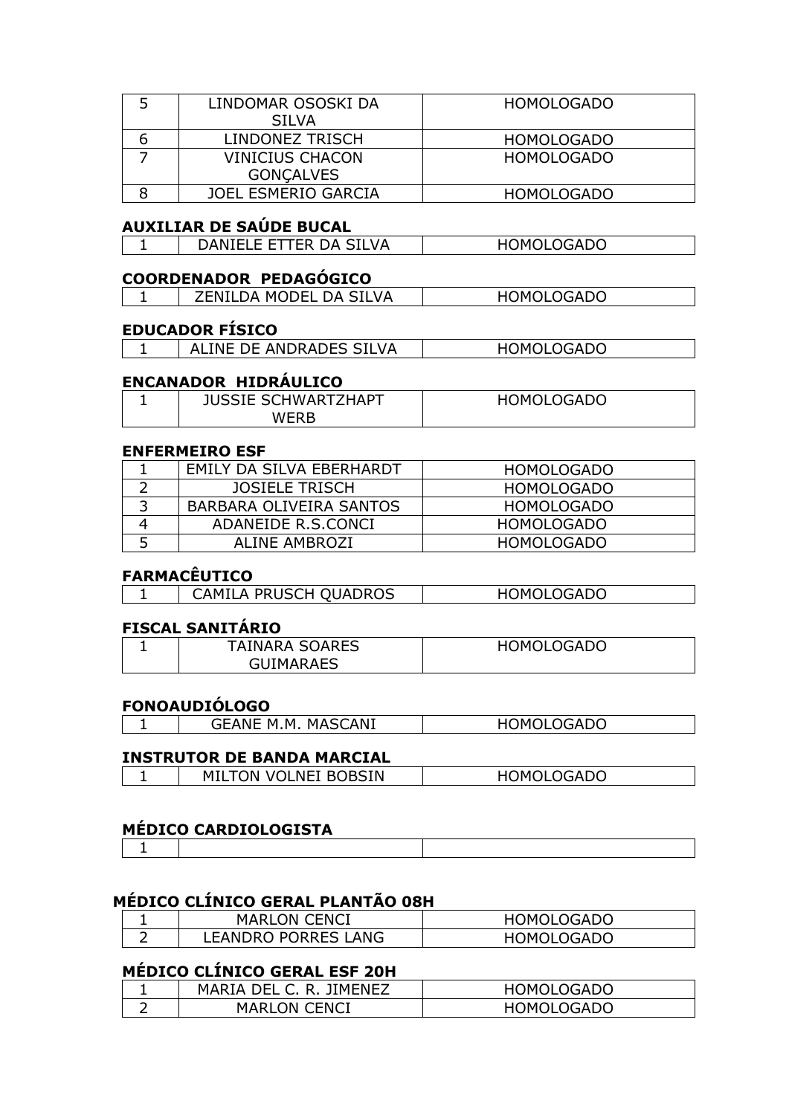| LINDOMAR OSOSKI DA         | <b>HOMOLOGADO</b> |
|----------------------------|-------------------|
| <b>SILVA</b>               |                   |
| LINDONEZ TRISCH            | <b>HOMOLOGADO</b> |
| <b>VINICIUS CHACON</b>     | <b>HOMOLOGADO</b> |
| <b>GONCALVES</b>           |                   |
| <b>JOEL ESMERIO GARCIA</b> | <b>HOMOLOGADO</b> |

### **AUXILIAR DE SAÚDE BUCAL**

| ER DA SILVA<br>JANIELE ETT | .OGADO<br>HOM <sub>(</sub> |
|----------------------------|----------------------------|
|                            |                            |

### **COORDENADOR PEDAGÓGICO**

|--|

### **EDUCADOR FÍSICO**

| ALINE DE ANDRADES SILVA | HOMOLOGADO |
|-------------------------|------------|

### **ENCANADOR HIDRÁULICO**

| <b>JUSSIE SCHWART</b><br><b>TZHAPT</b> | <b>HOMOLOGADO</b> |
|----------------------------------------|-------------------|
| WFRP                                   |                   |

#### **ENFERMEIRO ESF**

|   | EMILY DA SILVA EBERHARDT | <b>HOMOLOGADO</b> |
|---|--------------------------|-------------------|
|   | <b>JOSIELE TRISCH</b>    | HOMOLOGADO        |
|   | BARBARA OLIVEIRA SANTOS  | HOMOLOGADO        |
|   | ADANEIDE R.S.CONCI       | <b>HOMOLOGADO</b> |
| 5 | ALINE AMBROZI            | <b>HOMOLOGADO</b> |

# **FARMACÊUTICO**

| . |                              |                   |
|---|------------------------------|-------------------|
|   | <b>CAMILA PRUSCH QUADROS</b> | <b>HOMOLOGADO</b> |

### **FISCAL SANITÁRIO**

| <b>TAINARA SOARES</b> | <b>HOMOLOGADO</b> |
|-----------------------|-------------------|
| <b>GUIMARAES</b>      |                   |

### **FONOAUDIÓLOGO**

| CANI<br>м м<br><b>MAC</b><br>$\sim$ | <b>OCADO</b><br>ΔI<br>۱м |
|-------------------------------------|--------------------------|
|                                     |                          |

#### **INSTRUTOR DE BANDA MARCIAL**

| TROBSIN<br>– M™<br>Ч٥<br>NE.<br>NC.<br>7M<br>VOL<br>. | OGADO<br>---- |
|-------------------------------------------------------|---------------|
|-------------------------------------------------------|---------------|

### **MÉDICO CARDIOLOGISTA**

# 1

# **MÉDICO CLÍNICO GERAL PLANTÃO 08H**

|   | <b>MARLON CENCI</b> | <b>HOMOLOGADO</b> |
|---|---------------------|-------------------|
| - | LEANDRO PORRES LANG | <b>HOMOLOGADO</b> |

# **MÉDICO CLÍNICO GERAL ESF 20H**

| MARIA DEL C. R. JIMENEZ | <b>HOMOLOGADO</b> |
|-------------------------|-------------------|
| <b>MARLON CENCI</b>     | <b>HOMOLOGADO</b> |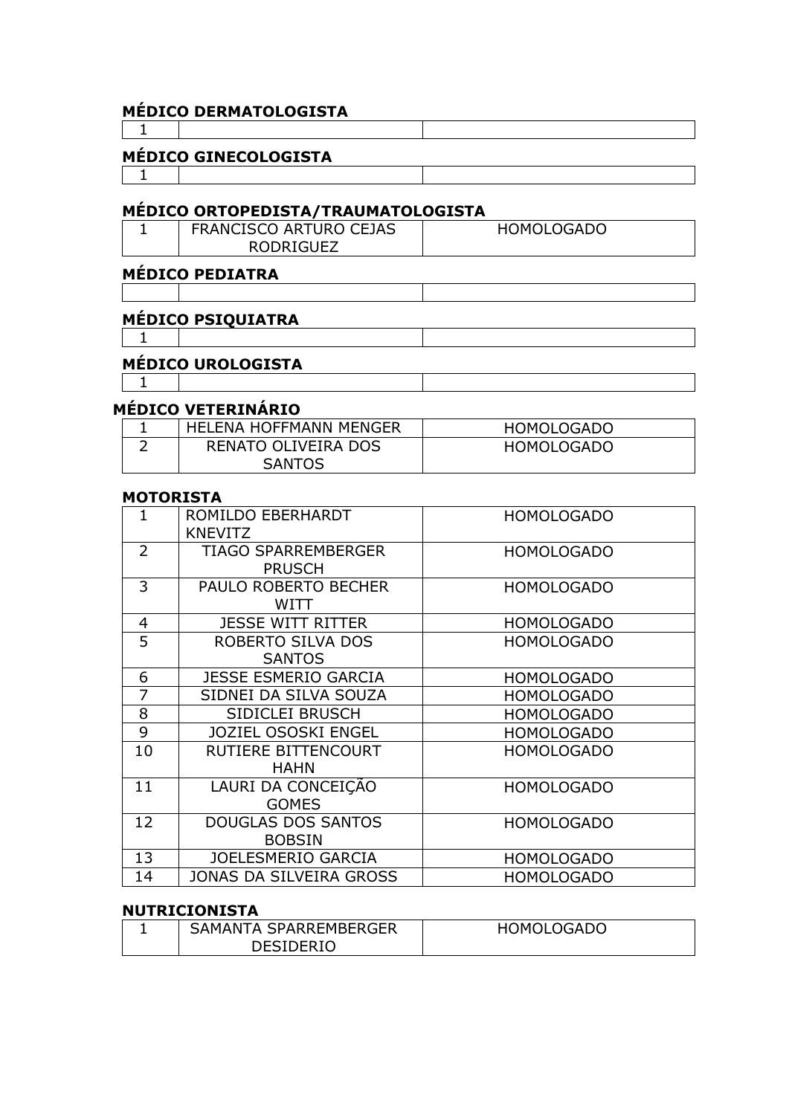|   | <b>MÉDICO DERMATOLOGISTA</b>               |                   |
|---|--------------------------------------------|-------------------|
|   |                                            |                   |
|   | <b>MÉDICO GINECOLOGISTA</b>                |                   |
|   |                                            |                   |
|   | MÉDICO ORTOPEDISTA/TRAUMATOLOGISTA         |                   |
|   | FRANCISCO ARTURO CEJAS<br><b>RODRIGUEZ</b> | <b>HOMOLOGADO</b> |
|   | <b>MÉDICO PEDIATRA</b>                     |                   |
|   |                                            |                   |
|   | <b>MÉDICO PSIQUIATRA</b>                   |                   |
|   |                                            |                   |
|   | <b>MÉDICO UROLOGISTA</b>                   |                   |
|   |                                            |                   |
|   | <b>MÉDICO VETERINÁRIO</b>                  |                   |
|   | <b>HELENA HOFFMANN MENGER</b>              | <b>HOMOLOGADO</b> |
| 2 | RENATO OLIVEIRA DOS<br><b>SANTOS</b>       | <b>HOMOLOGADO</b> |

#### **MOTORISTA**

| $\mathbf{1}$   | ROMILDO EBERHARDT<br><b>KNEVITZ</b>         | <b>HOMOLOGADO</b> |
|----------------|---------------------------------------------|-------------------|
| $\overline{2}$ | <b>TIAGO SPARREMBERGER</b><br><b>PRUSCH</b> | <b>HOMOLOGADO</b> |
| 3              | PAULO ROBERTO BECHER<br>WITT                | <b>HOMOLOGADO</b> |
| $\overline{4}$ | <b>JESSE WITT RITTER</b>                    | <b>HOMOLOGADO</b> |
| 5              | ROBERTO SILVA DOS<br><b>SANTOS</b>          | <b>HOMOLOGADO</b> |
| 6              | <b>JESSE ESMERIO GARCIA</b>                 | <b>HOMOLOGADO</b> |
| 7              | SIDNEI DA SILVA SOUZA                       | <b>HOMOLOGADO</b> |
| 8              | SIDICLEI BRUSCH                             | <b>HOMOLOGADO</b> |
| 9              | <b>JOZIEL OSOSKI ENGEL</b>                  | <b>HOMOLOGADO</b> |
| 10             | RUTIERE BITTENCOURT<br><b>HAHN</b>          | <b>HOMOLOGADO</b> |
| 11             | LAURI DA CONCEIÇÃO<br><b>GOMES</b>          | <b>HOMOLOGADO</b> |
| 12             | <b>DOUGLAS DOS SANTOS</b><br><b>BOBSIN</b>  | <b>HOMOLOGADO</b> |
| 13             | JOELESMERIO GARCIA                          | <b>HOMOLOGADO</b> |
| 14             | JONAS DA SILVEIRA GROSS                     | <b>HOMOLOGADO</b> |

# **NUTRICIONISTA**

| SAMANTA SPARREMBERGER | <b>HOMOLOGADO</b> |
|-----------------------|-------------------|
| <b>DESIDERIO</b>      |                   |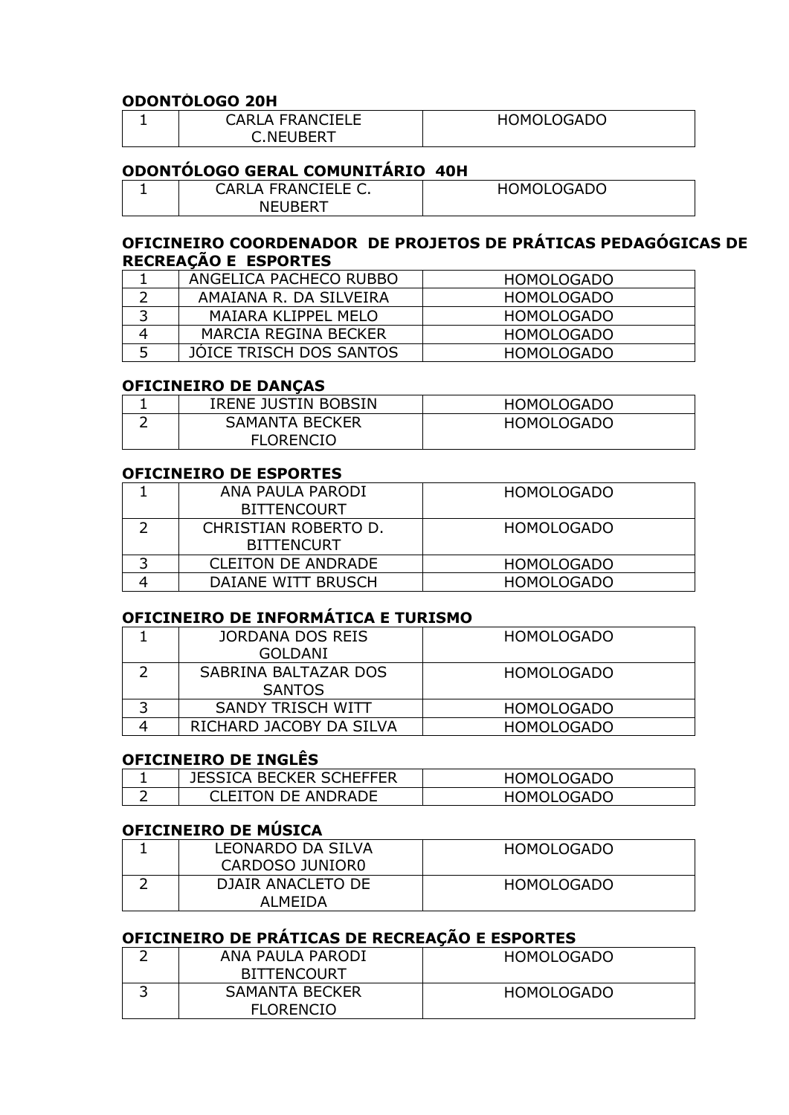#### **ODONTÓLOGO 20H**

| <b>CARLA FRANCIELE</b> | <b>HOMOLOGADO</b> |
|------------------------|-------------------|
| <b>C.NEUBERT</b>       |                   |

# **ODONTÓLOGO GERAL COMUNITÁRIO 40H**

| CARLA FRANCIELE C. | <b>HOMOLOGADO</b> |
|--------------------|-------------------|
| NEUBERT            |                   |

### **OFICINEIRO COORDENADOR DE PROJETOS DE PRÁTICAS PEDAGÓGICAS DE RECREAÇÃO E ESPORTES**

|   | ANGELICA PACHECO RUBBO  | HOMOLOGADO        |
|---|-------------------------|-------------------|
|   | AMAIANA R. DA SILVEIRA  | HOMOLOGADO        |
|   | MAIARA KLIPPEL MELO     | HOMOLOGADO        |
| 4 | MARCIA REGINA BECKER    | HOMOLOGADO        |
| 5 | JOICE TRISCH DOS SANTOS | <b>HOMOLOGADO</b> |

#### **OFICINEIRO DE DANÇAS**

|   | IRENE JUSTIN BOBSIN | HOMOLOGADO |
|---|---------------------|------------|
| ∽ | SAMANTA BECKER      | HOMOLOGADO |
|   | <b>FLORENCIO</b>    |            |

#### **OFICINEIRO DE ESPORTES**

| ANA PAULA PARODI     | <b>HOMOLOGADO</b> |
|----------------------|-------------------|
| <b>BITTENCOURT</b>   |                   |
| CHRISTIAN ROBERTO D. | <b>HOMOLOGADO</b> |
| <b>BITTENCURT</b>    |                   |
| CLEITON DE ANDRADE   | HOMOLOGADO        |
| DAIANE WITT BRUSCH   | <b>HOMOLOGADO</b> |

### **OFICINEIRO DE INFORMÁTICA E TURISMO**

| JORDANA DOS REIS        | <b>HOMOLOGADO</b> |
|-------------------------|-------------------|
| GOLDANI                 |                   |
| SABRINA BALTAZAR DOS    | <b>HOMOLOGADO</b> |
| <b>SANTOS</b>           |                   |
| SANDY TRISCH WITT       | <b>HOMOLOGADO</b> |
| RICHARD JACOBY DA SILVA | <b>HOMOLOGADO</b> |

#### **OFICINEIRO DE INGLÊS**

|   | <b>JESSICA BECKER SCHEFFER</b> | <b>HOMOLOGADO</b> |
|---|--------------------------------|-------------------|
| - | CLEITON DE ANDRADE             | <b>HOMOLOGADO</b> |

# **OFICINEIRO DE MÚSICA**

| LEONARDO DA SILVA<br>CARDOSO JUNIORO | <b>HOMOLOGADO</b> |
|--------------------------------------|-------------------|
| DJAIR ANACLETO DE<br>AI MFIDA        | HOMOLOGADO        |

# **OFICINEIRO DE PRÁTICAS DE RECREAÇÃO E ESPORTES**

| ANA PAULA PARODI   | <b>HOMOLOGADO</b> |
|--------------------|-------------------|
| <b>BITTENCOURT</b> |                   |
| SAMANTA BECKER     | <b>HOMOLOGADO</b> |
| <b>FLORENCIO</b>   |                   |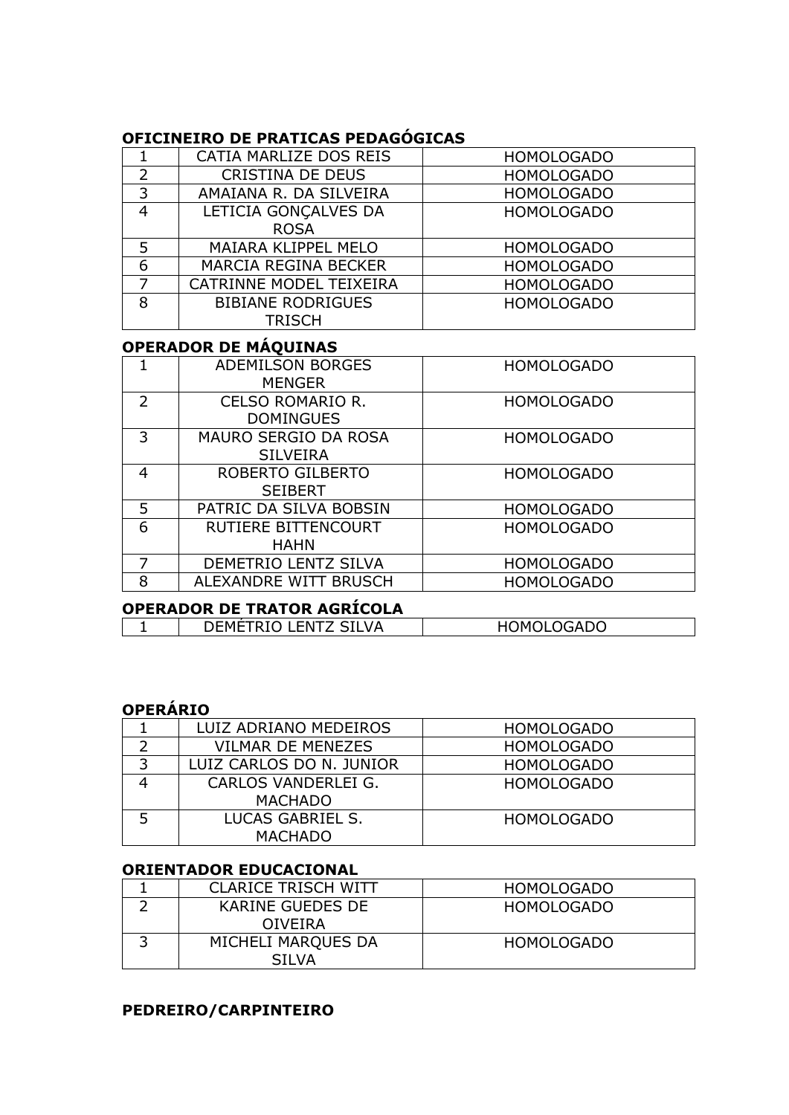# **OFICINEIRO DE PRATICAS PEDAGÓGICAS**

|                | CATIA MARLIZE DOS REIS      | <b>HOMOLOGADO</b> |
|----------------|-----------------------------|-------------------|
| $\overline{2}$ | <b>CRISTINA DE DEUS</b>     | <b>HOMOLOGADO</b> |
| 3              | AMAIANA R. DA SILVEIRA      | <b>HOMOLOGADO</b> |
| 4              | LETICIA GONÇALVES DA        | <b>HOMOLOGADO</b> |
|                | <b>ROSA</b>                 |                   |
| 5              | <b>MAIARA KLIPPEL MELO</b>  | <b>HOMOLOGADO</b> |
| 6              | <b>MARCIA REGINA BECKER</b> | <b>HOMOLOGADO</b> |
| 7              | CATRINNE MODEL TEIXEIRA     | <b>HOMOLOGADO</b> |
| 8              | <b>BIBIANE RODRIGUES</b>    | <b>HOMOLOGADO</b> |
|                | TRISCH                      |                   |

# **OPERADOR DE MÁQUINAS**

| <b>ADEMILSON BORGES</b>     | <b>HOMOLOGADO</b> |
|-----------------------------|-------------------|
|                             |                   |
| <b>CELSO ROMARIO R.</b>     | <b>HOMOLOGADO</b> |
| <b>DOMINGUES</b>            |                   |
| <b>MAURO SERGIO DA ROSA</b> | <b>HOMOLOGADO</b> |
| <b>SILVEIRA</b>             |                   |
| ROBERTO GILBERTO            | <b>HOMOLOGADO</b> |
| <b>SEIBERT</b>              |                   |
| PATRIC DA SILVA BOBSIN      | <b>HOMOLOGADO</b> |
| RUTIERE BITTENCOURT         | <b>HOMOLOGADO</b> |
| <b>HAHN</b>                 |                   |
| DEMETRIO LENTZ SILVA        | <b>HOMOLOGADO</b> |
| ALEXANDRE WITT BRUSCH       | <b>HOMOLOGADO</b> |
|                             | <b>MENGER</b>     |

# **OPERADOR DE TRATOR AGRÍCOLA**

| __________________________________ |                          |  |
|------------------------------------|--------------------------|--|
| <b>LENTZ SILVA</b><br>DEML.        | <b>DMOLOGADO</b><br>יוטד |  |

# **OPERÁRIO**

|   | LUIZ ADRIANO MEDEIROS    | <b>HOMOLOGADO</b> |
|---|--------------------------|-------------------|
|   | <b>VILMAR DE MENEZES</b> | <b>HOMOLOGADO</b> |
| 3 | LUIZ CARLOS DO N. JUNIOR | <b>HOMOLOGADO</b> |
|   | CARLOS VANDERLEI G.      | <b>HOMOLOGADO</b> |
|   | <b>MACHADO</b>           |                   |
|   | LUCAS GABRIEL S.         | <b>HOMOLOGADO</b> |
|   | <b>MACHADO</b>           |                   |

### **ORIENTADOR EDUCACIONAL**

| <b>CLARICE TRISCH WITT</b> | <b>HOMOLOGADO</b> |
|----------------------------|-------------------|
| KARINE GUEDES DE           | <b>HOMOLOGADO</b> |
| <b>OIVEIRA</b>             |                   |
| MICHELI MARQUES DA         | <b>HOMOLOGADO</b> |
| SII VA                     |                   |

# **PEDREIRO/CARPINTEIRO**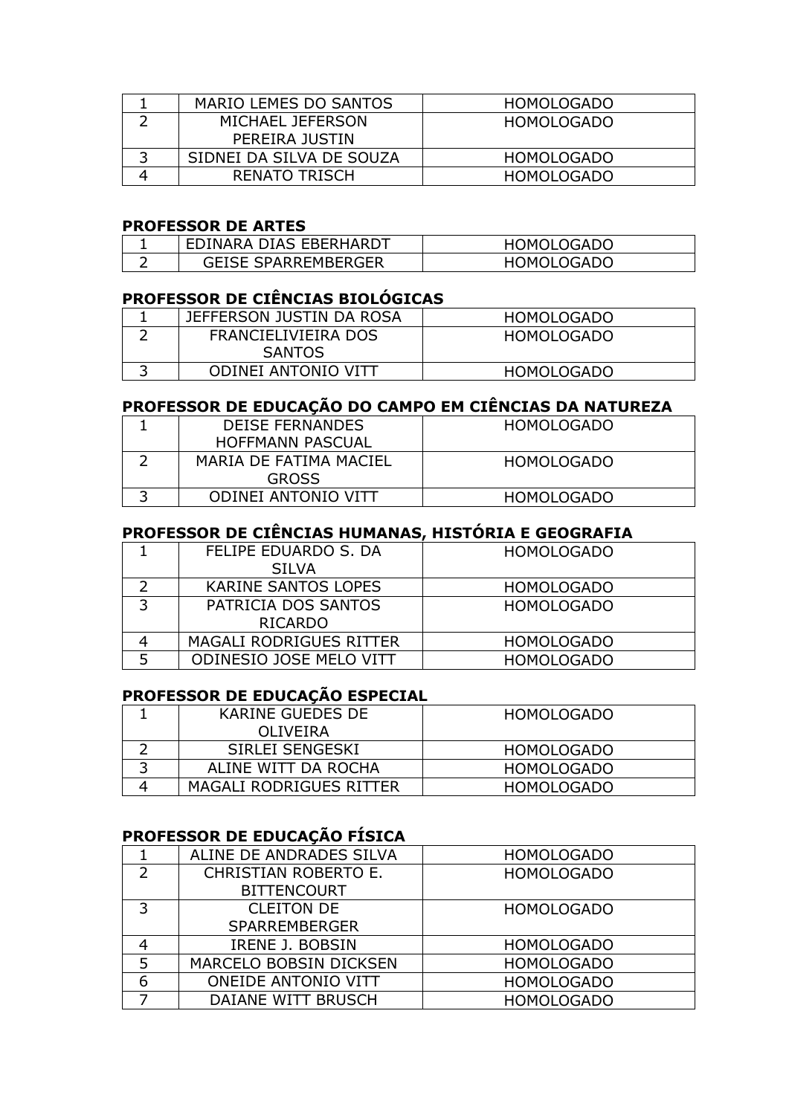| MARIO LEMES DO SANTOS    | <b>HOMOLOGADO</b> |
|--------------------------|-------------------|
| MICHAEL JEFERSON         | <b>HOMOLOGADO</b> |
| PEREIRA JUSTIN           |                   |
| SIDNEI DA SILVA DE SOUZA | <b>HOMOLOGADO</b> |
| RENATO TRISCH            | <b>HOMOLOGADO</b> |

### **PROFESSOR DE ARTES**

| ' EDINARA DIAS EBERHARDT   | HOMOLOGADO |
|----------------------------|------------|
| <b>GEISE SPARREMBERGER</b> | HOMOLOGADO |

### **PROFESSOR DE CIÊNCIAS BIOLÓGICAS**

| JEFFERSON JUSTIN DA ROSA | HOMOLOGADO        |
|--------------------------|-------------------|
| FRANCIELIVIEIRA DOS      | HOMOLOGADO        |
| <b>SANTOS</b>            |                   |
| ODINEI ANTONIO VITT      | <b>HOMOLOGADO</b> |

# **PROFESSOR DE EDUCAÇÃO DO CAMPO EM CIÊNCIAS DA NATUREZA**

| <b>DEISE FERNANDES</b> | <b>HOMOLOGADO</b> |
|------------------------|-------------------|
| HOFFMANN PASCUAL       |                   |
| MARIA DE FATIMA MACIEL | HOMOLOGADO        |
| <b>GROSS</b>           |                   |
| ODINEI ANTONIO VITT    | <b>HOMOLOGADO</b> |

# **PROFESSOR DE CIÊNCIAS HUMANAS, HISTÓRIA E GEOGRAFIA**

|   | FELIPE EDUARDO S. DA           | <b>HOMOLOGADO</b> |
|---|--------------------------------|-------------------|
|   | <b>SILVA</b>                   |                   |
|   | <b>KARINE SANTOS LOPES</b>     | <b>HOMOLOGADO</b> |
|   | PATRICIA DOS SANTOS            | <b>HOMOLOGADO</b> |
|   | <b>RICARDO</b>                 |                   |
|   | <b>MAGALI RODRIGUES RITTER</b> | <b>HOMOLOGADO</b> |
| 5 | <b>ODINESIO JOSE MELO VITT</b> | <b>HOMOLOGADO</b> |

# **PROFESSOR DE EDUCAÇÃO ESPECIAL**

|   | KARINE GUEDES DE        | HOMOLOGADO |
|---|-------------------------|------------|
|   | OLIVEIRA                |            |
|   | SIRLEI SENGESKI         | HOMOLOGADO |
| ∽ | ALINE WITT DA ROCHA     | HOMOLOGADO |
|   | MAGALI RODRIGUES RITTER | HOMOLOGADO |

# **PROFESSOR DE EDUCAÇÃO FÍSICA**

|                | ALINE DE ANDRADES SILVA    | <b>HOMOLOGADO</b> |
|----------------|----------------------------|-------------------|
| $\overline{2}$ | CHRISTIAN ROBERTO E.       | <b>HOMOLOGADO</b> |
|                | <b>BITTENCOURT</b>         |                   |
| 3              | <b>CLEITON DE</b>          | <b>HOMOLOGADO</b> |
|                | <b>SPARREMBERGER</b>       |                   |
| 4              | IRENE J. BOBSIN            | <b>HOMOLOGADO</b> |
| 5              | MARCELO BOBSIN DICKSEN     | <b>HOMOLOGADO</b> |
| 6              | <b>ONEIDE ANTONIO VITT</b> | <b>HOMOLOGADO</b> |
|                | DAIANE WITT BRUSCH         | <b>HOMOLOGADO</b> |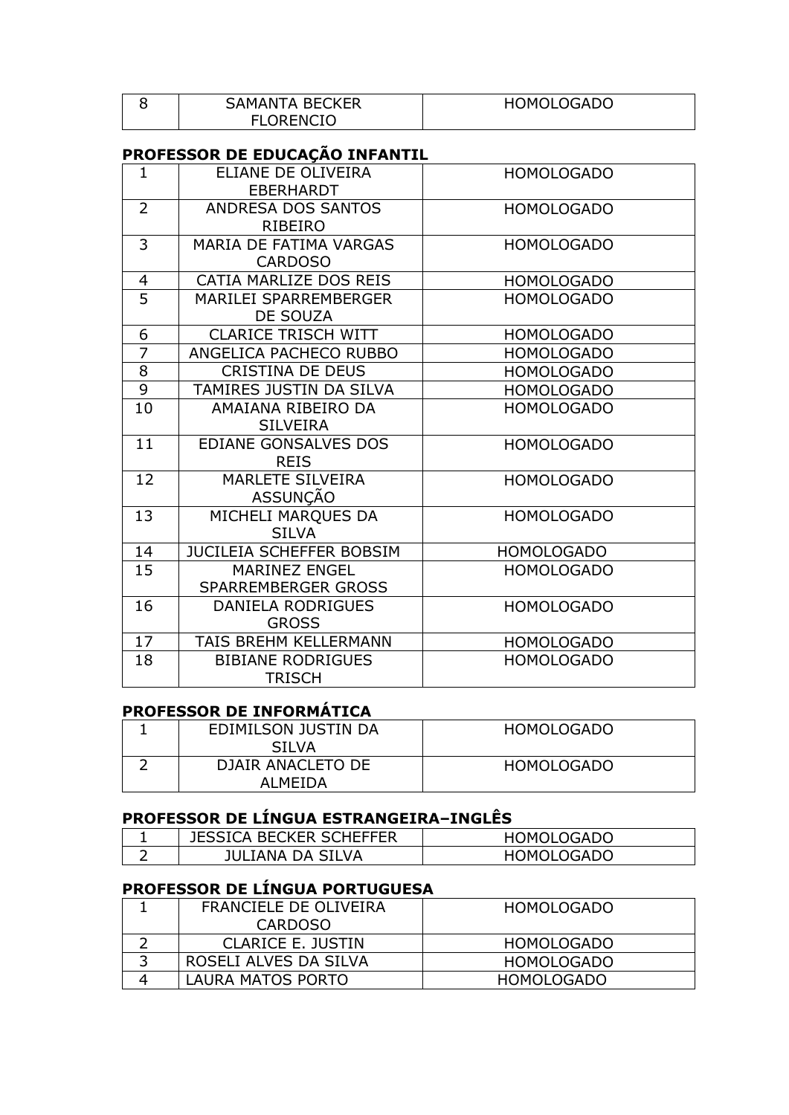| <b>SAMANTA BECKER</b> | <b>HOMOLOGADO</b> |
|-----------------------|-------------------|
| <b>FLORENCIO</b>      |                   |

# **PROFESSOR DE EDUCAÇÃO INFANTIL**

| $\mathbf{1}$        | ELIANE DE OLIVEIRA<br><b>EBERHARDT</b>      | <b>HOMOLOGADO</b> |
|---------------------|---------------------------------------------|-------------------|
| $\overline{2}$      | ANDRESA DOS SANTOS<br>RIBEIRO               | <b>HOMOLOGADO</b> |
| 3                   | MARIA DE FATIMA VARGAS<br><b>CARDOSO</b>    | <b>HOMOLOGADO</b> |
| $\overline{4}$      | CATIA MARLIZE DOS REIS                      | <b>HOMOLOGADO</b> |
| $\overline{5}$      | <b>MARILEI SPARREMBERGER</b><br>DE SOUZA    | <b>HOMOLOGADO</b> |
| 6                   | <b>CLARICE TRISCH WITT</b>                  | <b>HOMOLOGADO</b> |
| $\overline{7}$      | ANGELICA PACHECO RUBBO                      | <b>HOMOLOGADO</b> |
| $\overline{\infty}$ | <b>CRISTINA DE DEUS</b>                     | <b>HOMOLOGADO</b> |
| $\overline{9}$      | TAMIRES JUSTIN DA SILVA                     | <b>HOMOLOGADO</b> |
| 10                  | AMAIANA RIBEIRO DA<br><b>SILVEIRA</b>       | <b>HOMOLOGADO</b> |
| 11                  | EDIANE GONSALVES DOS<br><b>REIS</b>         | <b>HOMOLOGADO</b> |
| 12                  | MARLETE SILVEIRA<br>ASSUNÇÃO                | <b>HOMOLOGADO</b> |
| 13                  | MICHELI MARQUES DA<br><b>SILVA</b>          | <b>HOMOLOGADO</b> |
| 14                  | JUCILEIA SCHEFFER BOBSIM                    | <b>HOMOLOGADO</b> |
| $\overline{15}$     | <b>MARINEZ ENGEL</b><br>SPARREMBERGER GROSS | <b>HOMOLOGADO</b> |
| 16                  | DANIELA RODRIGUES<br><b>GROSS</b>           | <b>HOMOLOGADO</b> |
| 17                  | TAIS BREHM KELLERMANN                       | <b>HOMOLOGADO</b> |
| 18                  | <b>BIBIANE RODRIGUES</b><br><b>TRISCH</b>   | <b>HOMOLOGADO</b> |

# **PROFESSOR DE INFORMÁTICA**

| EDIMILSON JUSTIN DA<br><b>SILVA</b> | HOMOLOGADO |
|-------------------------------------|------------|
| DJAIR ANACLETO DE<br>AI MFIDA       | HOMOLOGADO |

# **PROFESSOR DE LÍNGUA ESTRANGEIRA–INGLÊS**

|   | <b>JESSICA BECKER SCHEFFER</b> | <b>HOMOLOGADO</b> |
|---|--------------------------------|-------------------|
| ∽ | <b>JULIANA DA SILVA</b>        | HOMOLOGADC        |

# **PROFESSOR DE LÍNGUA PORTUGUESA**

| FRANCIELE DE OLIVEIRA | <b>HOMOLOGADO</b> |
|-----------------------|-------------------|
| <b>CARDOSO</b>        |                   |
| CLARICE E. JUSTIN     | <b>HOMOLOGADO</b> |
| ROSELI ALVES DA SILVA | HOMOLOGADO        |
| LAURA MATOS PORTO     | <b>HOMOLOGADO</b> |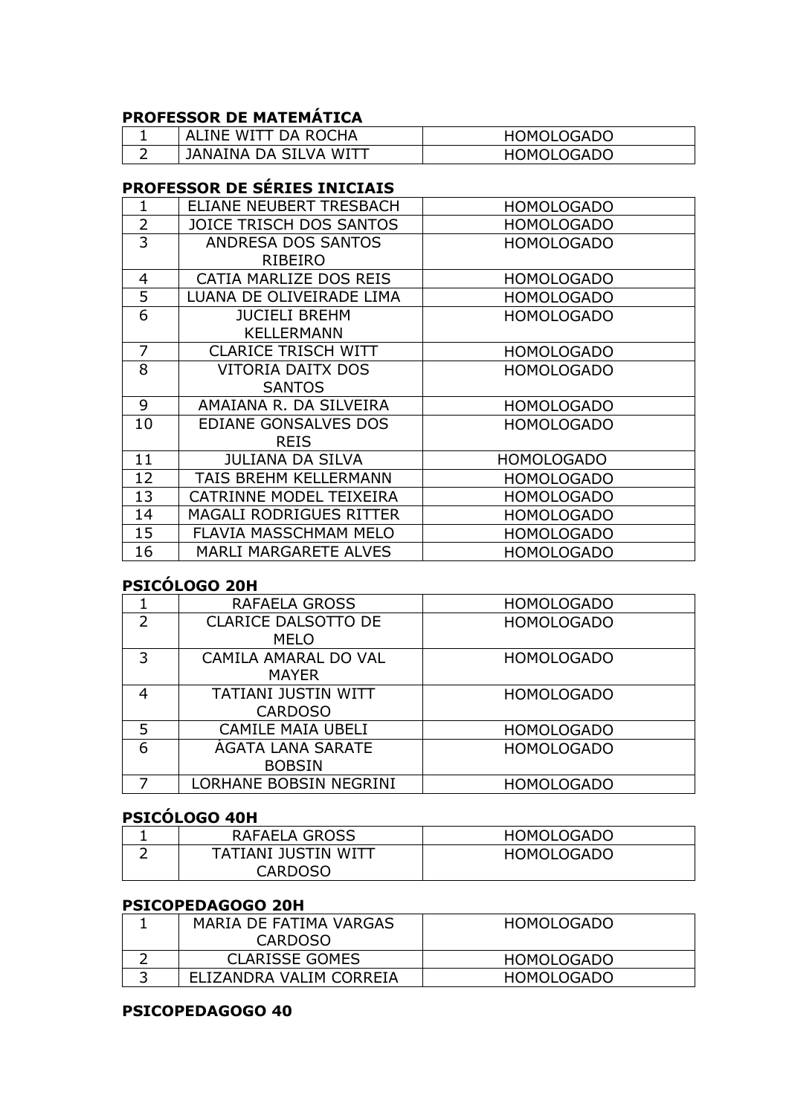# **PROFESSOR DE MATEMÁTICA**

| I ALINE WITT DA ROCHA | <b>HOMOLOGADO</b> |
|-----------------------|-------------------|
| JANAINA DA SILVA WITT | HOMOLOGADO        |

# **PROFESSOR DE SÉRIES INICIAIS**

| 1              | ELIANE NEUBERT TRESBACH        | <b>HOMOLOGADO</b> |
|----------------|--------------------------------|-------------------|
| $\overline{2}$ | JOICE TRISCH DOS SANTOS        | <b>HOMOLOGADO</b> |
| 3              | ANDRESA DOS SANTOS             | <b>HOMOLOGADO</b> |
|                | <b>RIBEIRO</b>                 |                   |
| 4              | CATIA MARLIZE DOS REIS         | <b>HOMOLOGADO</b> |
| 5              | LUANA DE OLIVEIRADE LIMA       | <b>HOMOLOGADO</b> |
| 6              | <b>JUCIELI BREHM</b>           | <b>HOMOLOGADO</b> |
|                | <b>KELLERMANN</b>              |                   |
| $\overline{7}$ | <b>CLARICE TRISCH WITT</b>     | <b>HOMOLOGADO</b> |
| 8              | VITORIA DAITX DOS              | <b>HOMOLOGADO</b> |
|                | <b>SANTOS</b>                  |                   |
| 9              | AMAIANA R. DA SILVEIRA         | <b>HOMOLOGADO</b> |
| 10             | EDIANE GONSALVES DOS           | <b>HOMOLOGADO</b> |
|                | <b>REIS</b>                    |                   |
| 11             | <b>JULIANA DA SILVA</b>        | <b>HOMOLOGADO</b> |
| 12             | TAIS BREHM KELLERMANN          | <b>HOMOLOGADO</b> |
| 13             | CATRINNE MODEL TEIXEIRA        | <b>HOMOLOGADO</b> |
| 14             | <b>MAGALI RODRIGUES RITTER</b> | <b>HOMOLOGADO</b> |
| 15             | <b>FLAVIA MASSCHMAM MELO</b>   | <b>HOMOLOGADO</b> |
| 16             | <b>MARLI MARGARETE ALVES</b>   | <b>HOMOLOGADO</b> |

# **PSICÓLOGO 20H**

|   | RAFAELA GROSS              | <b>HOMOLOGADO</b> |
|---|----------------------------|-------------------|
| 2 | <b>CLARICE DALSOTTO DE</b> | <b>HOMOLOGADO</b> |
|   | <b>MELO</b>                |                   |
| 3 | CAMILA AMARAL DO VAL       | <b>HOMOLOGADO</b> |
|   | <b>MAYER</b>               |                   |
| 4 | <b>TATIANI JUSTIN WITT</b> | <b>HOMOLOGADO</b> |
|   | <b>CARDOSO</b>             |                   |
| 5 | <b>CAMILE MAIA UBELI</b>   | <b>HOMOLOGADO</b> |
| 6 | AGATA LANA SARATE          | <b>HOMOLOGADO</b> |
|   | <b>BOBSIN</b>              |                   |
|   | LORHANE BOBSIN NEGRINI     | <b>HOMOLOGADO</b> |

### **PSICÓLOGO 40H**

| RAFAELA GROSS       | HOMOLOGADO |
|---------------------|------------|
| TATIANI JUSTIN WITT | HOMOLOGADO |
| <b>CARDOSO</b>      |            |

#### **PSICOPEDAGOGO 20H**

|   | MARIA DE FATIMA VARGAS  | <b>HOMOLOGADO</b> |
|---|-------------------------|-------------------|
|   | <b>CARDOSO</b>          |                   |
|   | <b>CLARISSE GOMES</b>   | <b>HOMOLOGADO</b> |
| ∽ | ELIZANDRA VALIM CORREIA | <b>HOMOLOGADO</b> |

### **PSICOPEDAGOGO 40**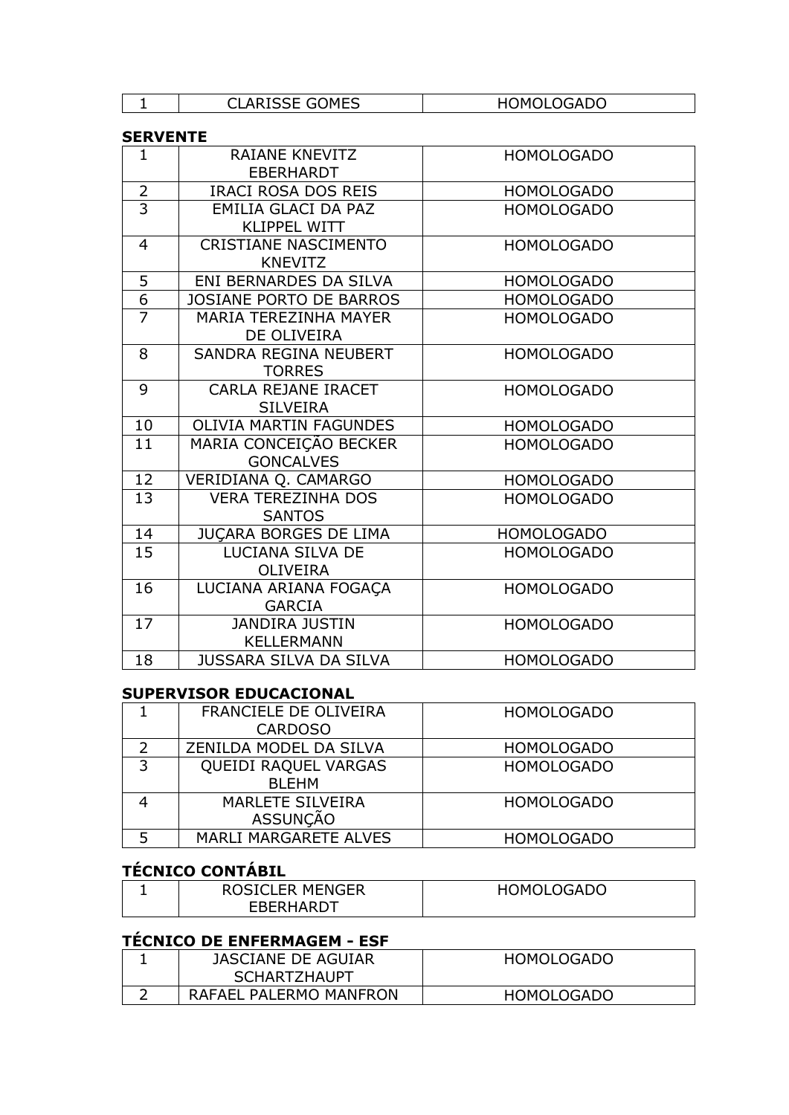| - | ICCE COMEC<br>י י<br><b>. '''L</b><br>ור<br>. J L . | LOGADO<br>)MC |
|---|-----------------------------------------------------|---------------|
|   |                                                     |               |

#### **SERVENTE**

| $\mathbf{1}$   | RAIANE KNEVITZ<br><b>EBERHARDT</b>            | <b>HOMOLOGADO</b> |
|----------------|-----------------------------------------------|-------------------|
| $\overline{2}$ | <b>IRACI ROSA DOS REIS</b>                    | <b>HOMOLOGADO</b> |
| $\overline{3}$ | EMILIA GLACI DA PAZ<br><b>KLIPPEL WITT</b>    | <b>HOMOLOGADO</b> |
| $\overline{4}$ | <b>CRISTIANE NASCIMENTO</b><br><b>KNEVITZ</b> | <b>HOMOLOGADO</b> |
| 5              | ENI BERNARDES DA SILVA                        | <b>HOMOLOGADO</b> |
| $\overline{6}$ | <b>JOSIANE PORTO DE BARROS</b>                | <b>HOMOLOGADO</b> |
| $\overline{7}$ | <b>MARIA TEREZINHA MAYER</b><br>DE OLIVEIRA   | <b>HOMOLOGADO</b> |
| 8              | SANDRA REGINA NEUBERT<br><b>TORRES</b>        | <b>HOMOLOGADO</b> |
| 9              | CARLA REJANE IRACET<br><b>SILVEIRA</b>        | <b>HOMOLOGADO</b> |
| 10             | <b>OLIVIA MARTIN FAGUNDES</b>                 | <b>HOMOLOGADO</b> |
| 11             | MARIA CONCEIÇÃO BECKER<br><b>GONCALVES</b>    | <b>HOMOLOGADO</b> |
| 12             | VERIDIANA Q. CAMARGO                          | <b>HOMOLOGADO</b> |
| 13             | <b>VERA TEREZINHA DOS</b><br><b>SANTOS</b>    | <b>HOMOLOGADO</b> |
| 14             | <b>JUCARA BORGES DE LIMA</b>                  | <b>HOMOLOGADO</b> |
| 15             | LUCIANA SILVA DE<br><b>OLIVEIRA</b>           | <b>HOMOLOGADO</b> |
| 16             | LUCIANA ARIANA FOGAÇA<br><b>GARCIA</b>        | <b>HOMOLOGADO</b> |
| 17             | <b>JANDIRA JUSTIN</b><br><b>KELLERMANN</b>    | <b>HOMOLOGADO</b> |
| 18             | <b>JUSSARA SILVA DA SILVA</b>                 | <b>HOMOLOGADO</b> |

### **SUPERVISOR EDUCACIONAL**

|   | FRANCIELE DE OLIVEIRA   | <b>HOMOLOGADO</b> |
|---|-------------------------|-------------------|
|   | <b>CARDOSO</b>          |                   |
|   | ZENILDA MODEL DA SILVA  | <b>HOMOLOGADO</b> |
| 3 | QUEIDI RAQUEL VARGAS    | <b>HOMOLOGADO</b> |
|   | <b>BLEHM</b>            |                   |
|   | <b>MARLETE SILVEIRA</b> | <b>HOMOLOGADO</b> |
|   | <b>ASSUNÇÃO</b>         |                   |
|   | MARLI MARGARETE ALVES   | <b>HOMOLOGADO</b> |

# **TÉCNICO CONTÁBIL**

| <b>ROSICLER MENGER</b> | <b>HOMOLOGADO</b> |
|------------------------|-------------------|
| EBERHARDT              |                   |

# **TÉCNICO DE ENFERMAGEM - ESF**

| JASCIANE DE AGUIAR     | <b>HOMOLOGADO</b> |
|------------------------|-------------------|
| <b>SCHARTZHAUPT</b>    |                   |
| RAFAEL PALERMO MANFRON | <b>HOMOLOGADO</b> |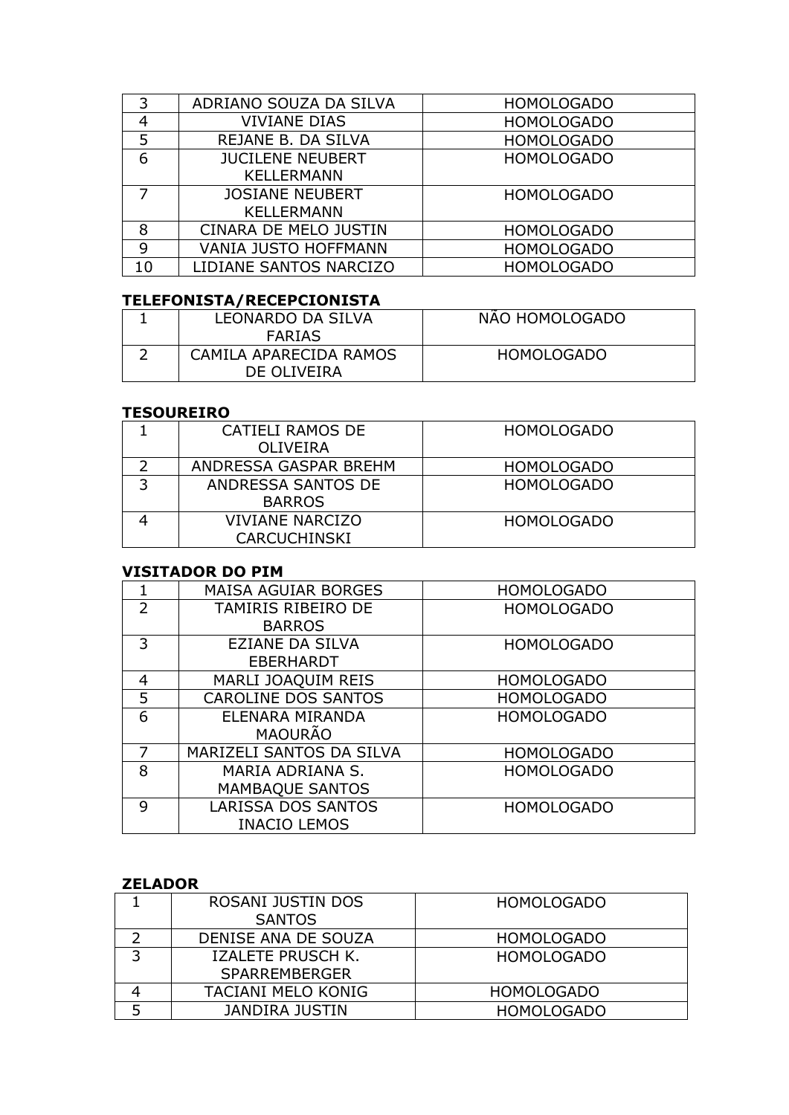| 3              | ADRIANO SOUZA DA SILVA      | <b>HOMOLOGADO</b> |
|----------------|-----------------------------|-------------------|
| 4              | <b>VIVIANE DIAS</b>         | <b>HOMOLOGADO</b> |
| 5              | REJANE B. DA SILVA          | <b>HOMOLOGADO</b> |
| 6              | <b>JUCILENE NEUBERT</b>     | <b>HOMOLOGADO</b> |
|                | <b>KELLERMANN</b>           |                   |
| $\overline{7}$ | <b>JOSIANE NEUBERT</b>      | <b>HOMOLOGADO</b> |
|                | <b>KELLERMANN</b>           |                   |
| 8              | CINARA DE MELO JUSTIN       | <b>HOMOLOGADO</b> |
| 9              | <b>VANIA JUSTO HOFFMANN</b> | <b>HOMOLOGADO</b> |
| 10             | LIDIANE SANTOS NARCIZO      | <b>HOMOLOGADO</b> |

# **TELEFONISTA/RECEPCIONISTA**

| <b>LEONARDO DA SILVA</b> | NAO HOMOLOGADO    |
|--------------------------|-------------------|
| <b>FARIAS</b>            |                   |
| CAMILA APARECIDA RAMOS   | <b>HOMOLOGADO</b> |
| DE OLIVEIRA              |                   |

#### **TESOUREIRO**

|   | CATIELI RAMOS DE       | <b>HOMOLOGADO</b> |
|---|------------------------|-------------------|
|   | OLIVEIRA               |                   |
|   | ANDRESSA GASPAR BREHM  | <b>HOMOLOGADO</b> |
| ∍ | ANDRESSA SANTOS DE     | <b>HOMOLOGADO</b> |
|   | <b>BARROS</b>          |                   |
|   | <b>VIVIANE NARCIZO</b> | <b>HOMOLOGADO</b> |
|   | <b>CARCUCHINSKI</b>    |                   |

#### **VISITADOR DO PIM**

|                | <b>MAISA AGUIAR BORGES</b> | <b>HOMOLOGADO</b> |
|----------------|----------------------------|-------------------|
| $\overline{2}$ | TAMIRIS RIBEIRO DE         | <b>HOMOLOGADO</b> |
|                | <b>BARROS</b>              |                   |
| 3              | <b>EZIANE DA SILVA</b>     | <b>HOMOLOGADO</b> |
|                | <b>EBERHARDT</b>           |                   |
| 4              | MARLI JOAQUIM REIS         | <b>HOMOLOGADO</b> |
| 5              | <b>CAROLINE DOS SANTOS</b> | <b>HOMOLOGADO</b> |
| 6              | ELENARA MIRANDA            | <b>HOMOLOGADO</b> |
|                | <b>MAOURÃO</b>             |                   |
| 7              | MARIZELI SANTOS DA SILVA   | <b>HOMOLOGADO</b> |
| 8              | MARIA ADRIANA S.           | <b>HOMOLOGADO</b> |
|                | <b>MAMBAQUE SANTOS</b>     |                   |
| 9              | <b>LARISSA DOS SANTOS</b>  | <b>HOMOLOGADO</b> |
|                | <b>INACIO LEMOS</b>        |                   |

### **ZELADOR**

|   | ROSANI JUSTIN DOS     | <b>HOMOLOGADO</b> |
|---|-----------------------|-------------------|
|   | <b>SANTOS</b>         |                   |
|   | DENISE ANA DE SOUZA   | <b>HOMOLOGADO</b> |
| ∍ | IZALETE PRUSCH K.     | <b>HOMOLOGADO</b> |
|   | <b>SPARREMBERGER</b>  |                   |
|   | TACIANI MELO KONIG    | <b>HOMOLOGADO</b> |
| 5 | <b>JANDIRA JUSTIN</b> | <b>HOMOLOGADO</b> |